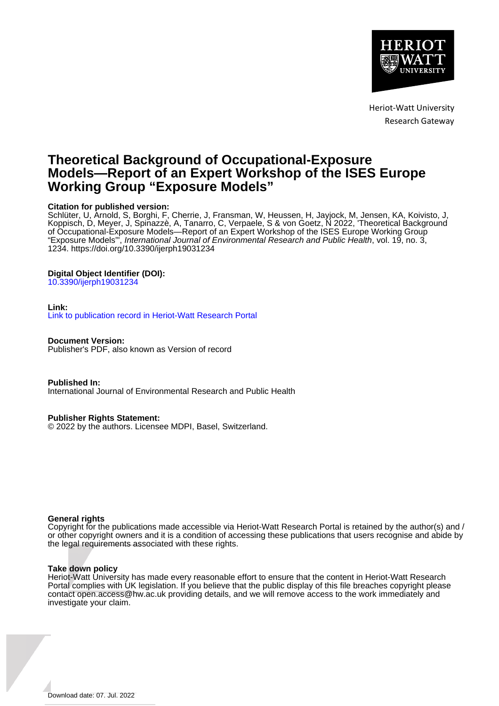

Heriot-Watt University Research Gateway

# **Theoretical Background of Occupational-Exposure Models—Report of an Expert Workshop of the ISES Europe Working Group "Exposure Models"**

# **Citation for published version:**

Schlüter, U, Arnold, S, Borghi, F, Cherrie, J, Fransman, W, Heussen, H, Jayjock, M, Jensen, KA, Koivisto, J, Koppisch, D, Meyer, J, Spinazzè, A, Tanarro, C, Verpaele, S & von Goetz, N 2022, 'Theoretical Background of Occupational-Exposure Models—Report of an Expert Workshop of the ISES Europe Working Group "Exposure Models"', International Journal of Environmental Research and Public Health, vol. 19, no. 3, 1234. <https://doi.org/10.3390/ijerph19031234>

# **Digital Object Identifier (DOI):**

[10.3390/ijerph19031234](https://doi.org/10.3390/ijerph19031234)

# **Link:**

[Link to publication record in Heriot-Watt Research Portal](https://researchportal.hw.ac.uk/en/publications/93271d19-c895-4842-a384-577a44392a93)

**Document Version:**

Publisher's PDF, also known as Version of record

**Published In:** International Journal of Environmental Research and Public Health

# **Publisher Rights Statement:**

© 2022 by the authors. Licensee MDPI, Basel, Switzerland.

# **General rights**

Copyright for the publications made accessible via Heriot-Watt Research Portal is retained by the author(s) and / or other copyright owners and it is a condition of accessing these publications that users recognise and abide by the legal requirements associated with these rights.

# **Take down policy**

Heriot-Watt University has made every reasonable effort to ensure that the content in Heriot-Watt Research Portal complies with UK legislation. If you believe that the public display of this file breaches copyright please contact open.access@hw.ac.uk providing details, and we will remove access to the work immediately and investigate your claim.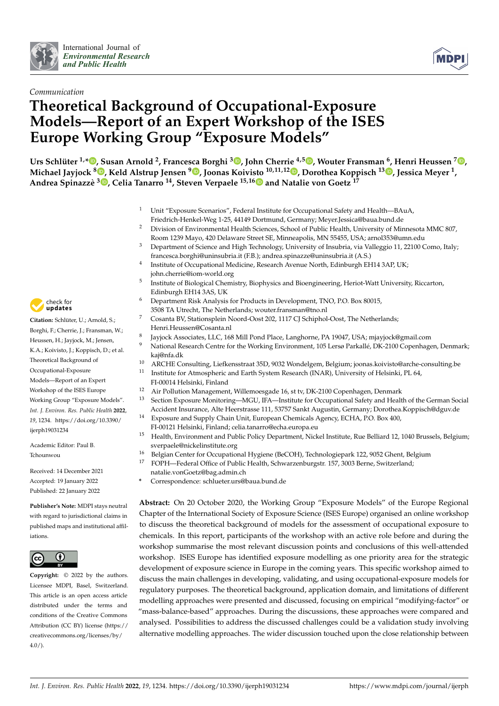



# *Communication* **Theoretical Background of Occupational-Exposure Models—Report of an Expert Workshop of the ISES Europe Working Group "Exposure Models"**

Urs Schlüter <sup>1,</sup>[\\*](https://orcid.org/0000-0003-2735-9307)®[,](https://orcid.org/0000-0002-4582-7795) Susan Arnold <sup>2</sup>, Francesca Borghi <sup>3</sup>®, John Cherrie <sup>4,5</sup>®, Wouter Fransman <sup>6</sup>, Henri Heussen <sup>7</sup>®, **Michael Jayjock <sup>8</sup> [,](https://orcid.org/0000-0002-7087-6679) Keld Alstrup Jensen <sup>9</sup> [,](https://orcid.org/0000-0002-2764-3634) Joonas Koivi[sto](https://orcid.org/0000-0003-3631-6464) 10,11,12 [,](https://orcid.org/0000-0002-6769-1999) Dorothea Koppisch <sup>13</sup> [,](https://orcid.org/0000-0001-6853-4736) Jessica Meyer <sup>1</sup> , Andrea Spinazzè 3 [,](https://orcid.org/0000-0003-0371-3164) Celia Tanarro <sup>14</sup>, Steven Verpaele 15,16 and Natalie von Goetz <sup>17</sup>**

- <sup>1</sup> Unit "Exposure Scenarios", Federal Institute for Occupational Safety and Health—BAuA, Friedrich-Henkel-Weg 1-25, 44149 Dortmund, Germany; Meyer.Jessica@baua.bund.de
- <sup>2</sup> Division of Environmental Health Sciences, School of Public Health, University of Minnesota MMC 807, Room 1239 Mayo, 420 Delaware Street SE, Minneapolis, MN 55455, USA; arnol353@umn.edu
- <sup>3</sup> Department of Science and High Technology, University of Insubria, via Valleggio 11, 22100 Como, Italy; francesca.borghi@uninsubria.it (F.B.); andrea.spinazze@uninsubria.it (A.S.)
- 4 Institute of Occupational Medicine, Research Avenue North, Edinburgh EH14 3AP, UK; john.cherrie@iom-world.org
- 5 Institute of Biological Chemistry, Biophysics and Bioengineering, Heriot-Watt University, Riccarton, Edinburgh EH14 3AS, UK
- <sup>6</sup> Department Risk Analysis for Products in Development, TNO, P.O. Box 80015, 3508 TA Utrecht, The Netherlands; wouter.fransman@tno.nl
- <sup>7</sup> Cosanta BV, Stationsplein Noord-Oost 202, 1117 CJ Schiphol-Oost, The Netherlands; Henri.Heussen@Cosanta.nl
- 8 Jayjock Associates, LLC, 168 Mill Pond Place, Langhorne, PA 19047, USA; mjayjock@gmail.com
- National Research Centre for the Working Environment, 105 Lersø Parkallé, DK-2100 Copenhagen, Denmark; kaj@nfa.dk
- <sup>10</sup> ARCHE Consulting, Liefkensstraat 35D, 9032 Wondelgem, Belgium; joonas.koivisto@arche-consulting.be
- <sup>11</sup> Institute for Atmospheric and Earth System Research (INAR), University of Helsinki, PL 64, FI-00014 Helsinki, Finland
- <sup>12</sup> Air Pollution Management, Willemoesgade 16, st tv, DK-2100 Copenhagen, Denmark<br><sup>13</sup> Section Exposure Monitoring—MGU IEA—Institute for Occupational Safety and Healt
- <sup>13</sup> Section Exposure Monitoring—MGU, IFA—Institute for Occupational Safety and Health of the German Social Accident Insurance, Alte Heerstrasse 111, 53757 Sankt Augustin, Germany; Dorothea.Koppisch@dguv.de
- Exposure and Supply Chain Unit, European Chemicals Agency, ECHA, P.O. Box 400,
	- FI-00121 Helsinki, Finland; celia.tanarro@echa.europa.eu
- <sup>15</sup> Health, Environment and Public Policy Department, Nickel Institute, Rue Belliard 12, 1040 Brussels, Belgium; sverpaele@nickelinstitute.org
- <sup>16</sup> Belgian Center for Occupational Hygiene (BeCOH), Technologiepark 122, 9052 Ghent, Belgium<br><sup>17</sup> EQNU Belgium (CG to a Chieldi Haelth Gebouwere hungste 157, 2002 Berne, Spritzgebrach
- <sup>17</sup> FOPH—Federal Office of Public Health, Schwarzenburgstr. 157, 3003 Berne, Switzerland;
	- natalie.vonGoetz@bag.admin.ch
- **\*** Correspondence: schlueter.urs@baua.bund.de

**Abstract:** On 20 October 2020, the Working Group "Exposure Models" of the Europe Regional Chapter of the International Society of Exposure Science (ISES Europe) organised an online workshop to discuss the theoretical background of models for the assessment of occupational exposure to chemicals. In this report, participants of the workshop with an active role before and during the workshop summarise the most relevant discussion points and conclusions of this well-attended workshop. ISES Europe has identified exposure modelling as one priority area for the strategic development of exposure science in Europe in the coming years. This specific workshop aimed to discuss the main challenges in developing, validating, and using occupational-exposure models for regulatory purposes. The theoretical background, application domain, and limitations of different modelling approaches were presented and discussed, focusing on empirical "modifying-factor" or "mass-balance-based" approaches. During the discussions, these approaches were compared and analysed. Possibilities to address the discussed challenges could be a validation study involving alternative modelling approaches. The wider discussion touched upon the close relationship between



**Citation:** Schlüter, U.; Arnold, S.; Borghi, F.; Cherrie, J.; Fransman, W.; Heussen, H.; Jayjock, M.; Jensen, K.A.; Koivisto, J.; Koppisch, D.; et al. Theoretical Background of Occupational-Exposure Models—Report of an Expert Workshop of the ISES Europe Working Group "Exposure Models". *Int. J. Environ. Res. Public Health* **2022**, *19*, 1234. [https://doi.org/10.3390/](https://doi.org/10.3390/ijerph19031234) [ijerph19031234](https://doi.org/10.3390/ijerph19031234)

Academic Editor: Paul B. Tchounwou

Received: 14 December 2021 Accepted: 19 January 2022 Published: 22 January 2022

**Publisher's Note:** MDPI stays neutral with regard to jurisdictional claims in published maps and institutional affiliations.



**Copyright:** © 2022 by the authors. Licensee MDPI, Basel, Switzerland. This article is an open access article distributed under the terms and conditions of the Creative Commons Attribution (CC BY) license [\(https://](https://creativecommons.org/licenses/by/4.0/) [creativecommons.org/licenses/by/](https://creativecommons.org/licenses/by/4.0/)  $4.0/$ ).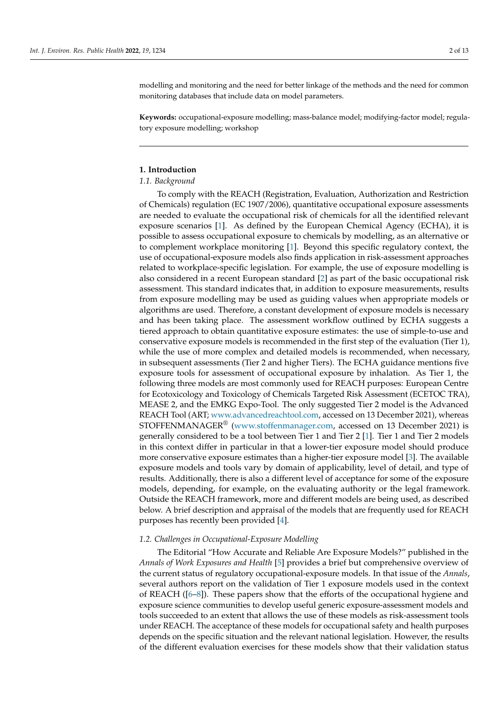modelling and monitoring and the need for better linkage of the methods and the need for common monitoring databases that include data on model parameters.

**Keywords:** occupational-exposure modelling; mass-balance model; modifying-factor model; regulatory exposure modelling; workshop

# **1. Introduction**

# *1.1. Background*

To comply with the REACH (Registration, Evaluation, Authorization and Restriction of Chemicals) regulation (EC 1907/2006), quantitative occupational exposure assessments are needed to evaluate the occupational risk of chemicals for all the identified relevant exposure scenarios [\[1\]](#page-11-0). As defined by the European Chemical Agency (ECHA), it is possible to assess occupational exposure to chemicals by modelling, as an alternative or to complement workplace monitoring [\[1\]](#page-11-0). Beyond this specific regulatory context, the use of occupational-exposure models also finds application in risk-assessment approaches related to workplace-specific legislation. For example, the use of exposure modelling is also considered in a recent European standard [\[2\]](#page-11-1) as part of the basic occupational risk assessment. This standard indicates that, in addition to exposure measurements, results from exposure modelling may be used as guiding values when appropriate models or algorithms are used. Therefore, a constant development of exposure models is necessary and has been taking place. The assessment workflow outlined by ECHA suggests a tiered approach to obtain quantitative exposure estimates: the use of simple-to-use and conservative exposure models is recommended in the first step of the evaluation (Tier 1), while the use of more complex and detailed models is recommended, when necessary, in subsequent assessments (Tier 2 and higher Tiers). The ECHA guidance mentions five exposure tools for assessment of occupational exposure by inhalation. As Tier 1, the following three models are most commonly used for REACH purposes: European Centre for Ecotoxicology and Toxicology of Chemicals Targeted Risk Assessment (ECETOC TRA), MEASE 2, and the EMKG Expo-Tool. The only suggested Tier 2 model is the Advanced REACH Tool (ART; [www.advancedreachtool.com,](www.advancedreachtool.com) accessed on 13 December 2021), whereas STOFFENMANAGER® [\(www.stoffenmanager.com,](www.stoffenmanager.com) accessed on 13 December 2021) is generally considered to be a tool between Tier 1 and Tier 2 [\[1\]](#page-11-0). Tier 1 and Tier 2 models in this context differ in particular in that a lower-tier exposure model should produce more conservative exposure estimates than a higher-tier exposure model [\[3\]](#page-11-2). The available exposure models and tools vary by domain of applicability, level of detail, and type of results. Additionally, there is also a different level of acceptance for some of the exposure models, depending, for example, on the evaluating authority or the legal framework. Outside the REACH framework, more and different models are being used, as described below. A brief description and appraisal of the models that are frequently used for REACH purposes has recently been provided [\[4\]](#page-11-3).

#### *1.2. Challenges in Occupational-Exposure Modelling*

The Editorial "How Accurate and Reliable Are Exposure Models?" published in the *Annals of Work Exposures and Health* [\[5\]](#page-11-4) provides a brief but comprehensive overview of the current status of regulatory occupational-exposure models. In that issue of the *Annals*, several authors report on the validation of Tier 1 exposure models used in the context of REACH ([\[6–](#page-11-5)[8\]](#page-12-0)). These papers show that the efforts of the occupational hygiene and exposure science communities to develop useful generic exposure-assessment models and tools succeeded to an extent that allows the use of these models as risk-assessment tools under REACH. The acceptance of these models for occupational safety and health purposes depends on the specific situation and the relevant national legislation. However, the results of the different evaluation exercises for these models show that their validation status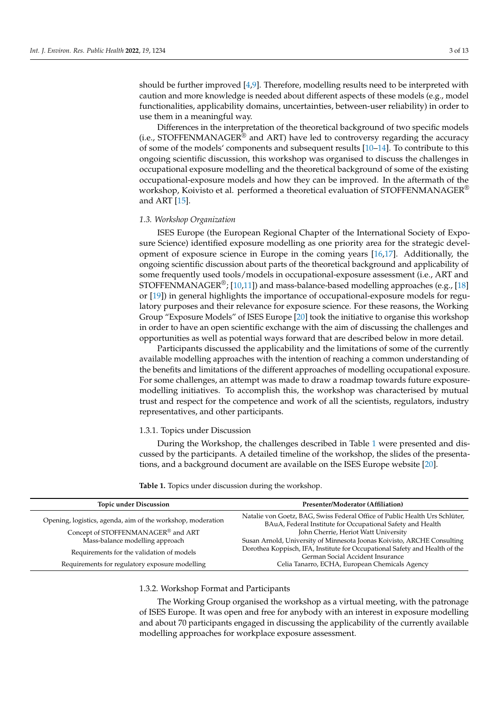should be further improved [\[4,](#page-11-3)[9\]](#page-12-1). Therefore, modelling results need to be interpreted with caution and more knowledge is needed about different aspects of these models (e.g., model functionalities, applicability domains, uncertainties, between-user reliability) in order to use them in a meaningful way.

Differences in the interpretation of the theoretical background of two specific models  $(i.e., STOFFENMANAGER<sup>®</sup>$  and ART) have led to controversy regarding the accuracy of some of the models' components and subsequent results [\[10–](#page-12-2)[14\]](#page-12-3). To contribute to this ongoing scientific discussion, this workshop was organised to discuss the challenges in occupational exposure modelling and the theoretical background of some of the existing occupational-exposure models and how they can be improved. In the aftermath of the workshop, Koivisto et al. performed a theoretical evaluation of STOFFENMANAGER<sup>®</sup> and ART [\[15\]](#page-12-4).

#### *1.3. Workshop Organization*

ISES Europe (the European Regional Chapter of the International Society of Exposure Science) identified exposure modelling as one priority area for the strategic development of exposure science in Europe in the coming years [\[16](#page-12-5)[,17\]](#page-12-6). Additionally, the ongoing scientific discussion about parts of the theoretical background and applicability of some frequently used tools/models in occupational-exposure assessment (i.e., ART and STOFFENMANAGER<sup>®</sup>; [\[10](#page-12-2)[,11\]](#page-12-7)) and mass-balance-based modelling approaches (e.g., [\[18\]](#page-12-8) or [\[19\]](#page-12-9)) in general highlights the importance of occupational-exposure models for regulatory purposes and their relevance for exposure science. For these reasons, the Working Group "Exposure Models" of ISES Europe [\[20\]](#page-12-10) took the initiative to organise this workshop in order to have an open scientific exchange with the aim of discussing the challenges and opportunities as well as potential ways forward that are described below in more detail.

Participants discussed the applicability and the limitations of some of the currently available modelling approaches with the intention of reaching a common understanding of the benefits and limitations of the different approaches of modelling occupational exposure. For some challenges, an attempt was made to draw a roadmap towards future exposuremodelling initiatives. To accomplish this, the workshop was characterised by mutual trust and respect for the competence and work of all the scientists, regulators, industry representatives, and other participants.

#### 1.3.1. Topics under Discussion

During the Workshop, the challenges described in Table [1](#page-3-0) were presented and discussed by the participants. A detailed timeline of the workshop, the slides of the presentations, and a background document are available on the ISES Europe website [\[20\]](#page-12-10).

| <b>Topic under Discussion</b>                               | Presenter/Moderator (Affiliation)                                                                                                         |
|-------------------------------------------------------------|-------------------------------------------------------------------------------------------------------------------------------------------|
| Opening, logistics, agenda, aim of the workshop, moderation | Natalie von Goetz, BAG, Swiss Federal Office of Public Health Urs Schlüter,<br>BAuA, Federal Institute for Occupational Safety and Health |
| Concept of STOFFENMANAGER® and ART                          | John Cherrie, Heriot Watt University                                                                                                      |
| Mass-balance modelling approach                             | Susan Arnold, University of Minnesota Joonas Koivisto, ARCHE Consulting                                                                   |
| Requirements for the validation of models                   | Dorothea Koppisch, IFA, Institute for Occupational Safety and Health of the<br>German Social Accident Insurance                           |
| Requirements for regulatory exposure modelling              | Celia Tanarro, ECHA, European Chemicals Agency                                                                                            |

<span id="page-3-0"></span>**Table 1.** Topics under discussion during the workshop.

#### 1.3.2. Workshop Format and Participants

The Working Group organised the workshop as a virtual meeting, with the patronage of ISES Europe. It was open and free for anybody with an interest in exposure modelling and about 70 participants engaged in discussing the applicability of the currently available modelling approaches for workplace exposure assessment.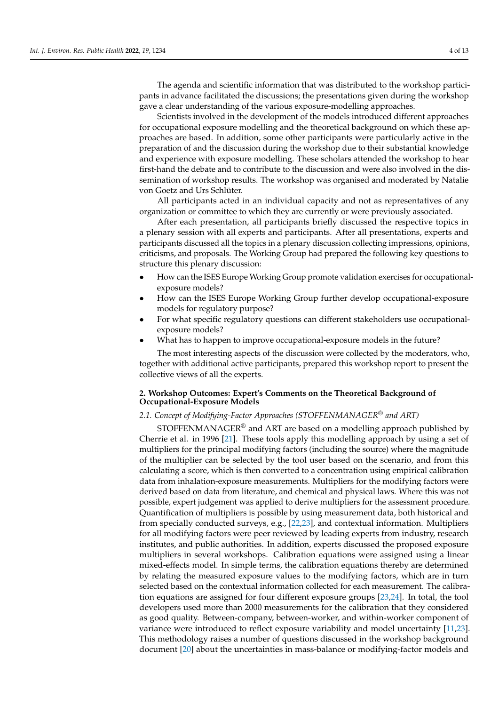The agenda and scientific information that was distributed to the workshop participants in advance facilitated the discussions; the presentations given during the workshop gave a clear understanding of the various exposure-modelling approaches.

Scientists involved in the development of the models introduced different approaches for occupational exposure modelling and the theoretical background on which these approaches are based. In addition, some other participants were particularly active in the preparation of and the discussion during the workshop due to their substantial knowledge and experience with exposure modelling. These scholars attended the workshop to hear first-hand the debate and to contribute to the discussion and were also involved in the dissemination of workshop results. The workshop was organised and moderated by Natalie von Goetz and Urs Schlüter.

All participants acted in an individual capacity and not as representatives of any organization or committee to which they are currently or were previously associated.

After each presentation, all participants briefly discussed the respective topics in a plenary session with all experts and participants. After all presentations, experts and participants discussed all the topics in a plenary discussion collecting impressions, opinions, criticisms, and proposals. The Working Group had prepared the following key questions to structure this plenary discussion:

- How can the ISES Europe Working Group promote validation exercises for occupationalexposure models?
- How can the ISES Europe Working Group further develop occupational-exposure models for regulatory purpose?
- For what specific regulatory questions can different stakeholders use occupationalexposure models?
- What has to happen to improve occupational-exposure models in the future?

The most interesting aspects of the discussion were collected by the moderators, who, together with additional active participants, prepared this workshop report to present the collective views of all the experts.

# **2. Workshop Outcomes: Expert's Comments on the Theoretical Background of Occupational-Exposure Models**

# *2.1. Concept of Modifying-Factor Approaches (STOFFENMANAGER® and ART)*

STOFFENMANAGER<sup>®</sup> and ART are based on a modelling approach published by Cherrie et al. in 1996 [\[21\]](#page-12-11). These tools apply this modelling approach by using a set of multipliers for the principal modifying factors (including the source) where the magnitude of the multiplier can be selected by the tool user based on the scenario, and from this calculating a score, which is then converted to a concentration using empirical calibration data from inhalation-exposure measurements. Multipliers for the modifying factors were derived based on data from literature, and chemical and physical laws. Where this was not possible, expert judgement was applied to derive multipliers for the assessment procedure. Quantification of multipliers is possible by using measurement data, both historical and from specially conducted surveys, e.g., [\[22](#page-12-12)[,23\]](#page-12-13), and contextual information. Multipliers for all modifying factors were peer reviewed by leading experts from industry, research institutes, and public authorities. In addition, experts discussed the proposed exposure multipliers in several workshops. Calibration equations were assigned using a linear mixed-effects model. In simple terms, the calibration equations thereby are determined by relating the measured exposure values to the modifying factors, which are in turn selected based on the contextual information collected for each measurement. The calibration equations are assigned for four different exposure groups [\[23](#page-12-13)[,24\]](#page-12-14). In total, the tool developers used more than 2000 measurements for the calibration that they considered as good quality. Between-company, between-worker, and within-worker component of variance were introduced to reflect exposure variability and model uncertainty [\[11,](#page-12-7)[23\]](#page-12-13). This methodology raises a number of questions discussed in the workshop background document [\[20\]](#page-12-10) about the uncertainties in mass-balance or modifying-factor models and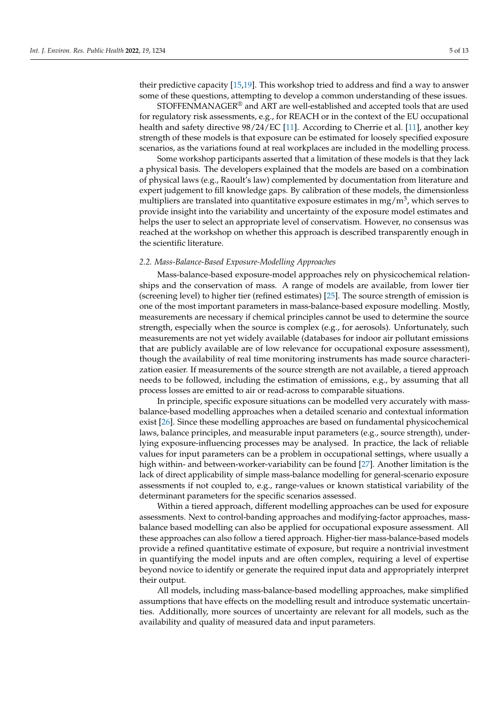their predictive capacity [\[15,](#page-12-4)[19\]](#page-12-9). This workshop tried to address and find a way to answer some of these questions, attempting to develop a common understanding of these issues.

STOFFENMANAGER® and ART are well-established and accepted tools that are used for regulatory risk assessments, e.g., for REACH or in the context of the EU occupational health and safety directive 98/24/EC [\[11\]](#page-12-7). According to Cherrie et al. [11], another key strength of these models is that exposure can be estimated for loosely specified exposure scenarios, as the variations found at real workplaces are included in the modelling process.

Some workshop participants asserted that a limitation of these models is that they lack a physical basis. The developers explained that the models are based on a combination of physical laws (e.g., Raoult's law) complemented by documentation from literature and expert judgement to fill knowledge gaps. By calibration of these models, the dimensionless multipliers are translated into quantitative exposure estimates in mg/m $^3$ , which serves to provide insight into the variability and uncertainty of the exposure model estimates and helps the user to select an appropriate level of conservatism. However, no consensus was reached at the workshop on whether this approach is described transparently enough in the scientific literature.

#### *2.2. Mass-Balance-Based Exposure-Modelling Approaches*

Mass-balance-based exposure-model approaches rely on physicochemical relationships and the conservation of mass. A range of models are available, from lower tier (screening level) to higher tier (refined estimates) [\[25\]](#page-12-15). The source strength of emission is one of the most important parameters in mass-balance-based exposure modelling. Mostly, measurements are necessary if chemical principles cannot be used to determine the source strength, especially when the source is complex (e.g., for aerosols). Unfortunately, such measurements are not yet widely available (databases for indoor air pollutant emissions that are publicly available are of low relevance for occupational exposure assessment), though the availability of real time monitoring instruments has made source characterization easier. If measurements of the source strength are not available, a tiered approach needs to be followed, including the estimation of emissions, e.g., by assuming that all process losses are emitted to air or read-across to comparable situations.

In principle, specific exposure situations can be modelled very accurately with massbalance-based modelling approaches when a detailed scenario and contextual information exist [\[26\]](#page-12-16). Since these modelling approaches are based on fundamental physicochemical laws, balance principles, and measurable input parameters (e.g., source strength), underlying exposure-influencing processes may be analysed. In practice, the lack of reliable values for input parameters can be a problem in occupational settings, where usually a high within- and between-worker-variability can be found [\[27\]](#page-12-17). Another limitation is the lack of direct applicability of simple mass-balance modelling for general-scenario exposure assessments if not coupled to, e.g., range-values or known statistical variability of the determinant parameters for the specific scenarios assessed.

Within a tiered approach, different modelling approaches can be used for exposure assessments. Next to control-banding approaches and modifying-factor approaches, massbalance based modelling can also be applied for occupational exposure assessment. All these approaches can also follow a tiered approach. Higher-tier mass-balance-based models provide a refined quantitative estimate of exposure, but require a nontrivial investment in quantifying the model inputs and are often complex, requiring a level of expertise beyond novice to identify or generate the required input data and appropriately interpret their output.

All models, including mass-balance-based modelling approaches, make simplified assumptions that have effects on the modelling result and introduce systematic uncertainties. Additionally, more sources of uncertainty are relevant for all models, such as the availability and quality of measured data and input parameters.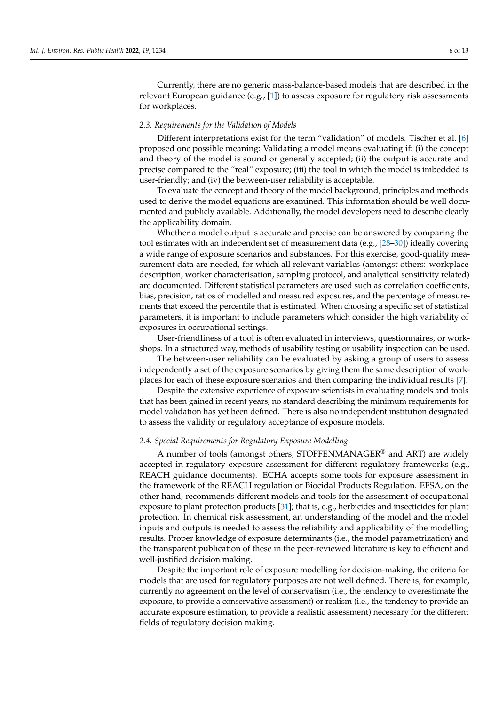Currently, there are no generic mass-balance-based models that are described in the relevant European guidance (e.g., [\[1\]](#page-11-0)) to assess exposure for regulatory risk assessments for workplaces.

### *2.3. Requirements for the Validation of Models*

Different interpretations exist for the term "validation" of models. Tischer et al. [\[6\]](#page-11-5) proposed one possible meaning: Validating a model means evaluating if: (i) the concept and theory of the model is sound or generally accepted; (ii) the output is accurate and precise compared to the "real" exposure; (iii) the tool in which the model is imbedded is user-friendly; and (iv) the between-user reliability is acceptable.

To evaluate the concept and theory of the model background, principles and methods used to derive the model equations are examined. This information should be well documented and publicly available. Additionally, the model developers need to describe clearly the applicability domain.

Whether a model output is accurate and precise can be answered by comparing the tool estimates with an independent set of measurement data (e.g., [\[28–](#page-12-18)[30\]](#page-12-19)) ideally covering a wide range of exposure scenarios and substances. For this exercise, good-quality measurement data are needed, for which all relevant variables (amongst others: workplace description, worker characterisation, sampling protocol, and analytical sensitivity related) are documented. Different statistical parameters are used such as correlation coefficients, bias, precision, ratios of modelled and measured exposures, and the percentage of measurements that exceed the percentile that is estimated. When choosing a specific set of statistical parameters, it is important to include parameters which consider the high variability of exposures in occupational settings.

User-friendliness of a tool is often evaluated in interviews, questionnaires, or workshops. In a structured way, methods of usability testing or usability inspection can be used.

The between-user reliability can be evaluated by asking a group of users to assess independently a set of the exposure scenarios by giving them the same description of workplaces for each of these exposure scenarios and then comparing the individual results [\[7\]](#page-11-6).

Despite the extensive experience of exposure scientists in evaluating models and tools that has been gained in recent years, no standard describing the minimum requirements for model validation has yet been defined. There is also no independent institution designated to assess the validity or regulatory acceptance of exposure models.

#### *2.4. Special Requirements for Regulatory Exposure Modelling*

A number of tools (amongst others, STOFFENMANAGER® and ART) are widely accepted in regulatory exposure assessment for different regulatory frameworks (e.g., REACH guidance documents). ECHA accepts some tools for exposure assessment in the framework of the REACH regulation or Biocidal Products Regulation. EFSA, on the other hand, recommends different models and tools for the assessment of occupational exposure to plant protection products [\[31\]](#page-12-20); that is, e.g., herbicides and insecticides for plant protection. In chemical risk assessment, an understanding of the model and the model inputs and outputs is needed to assess the reliability and applicability of the modelling results. Proper knowledge of exposure determinants (i.e., the model parametrization) and the transparent publication of these in the peer-reviewed literature is key to efficient and well-justified decision making.

Despite the important role of exposure modelling for decision-making, the criteria for models that are used for regulatory purposes are not well defined. There is, for example, currently no agreement on the level of conservatism (i.e., the tendency to overestimate the exposure, to provide a conservative assessment) or realism (i.e., the tendency to provide an accurate exposure estimation, to provide a realistic assessment) necessary for the different fields of regulatory decision making.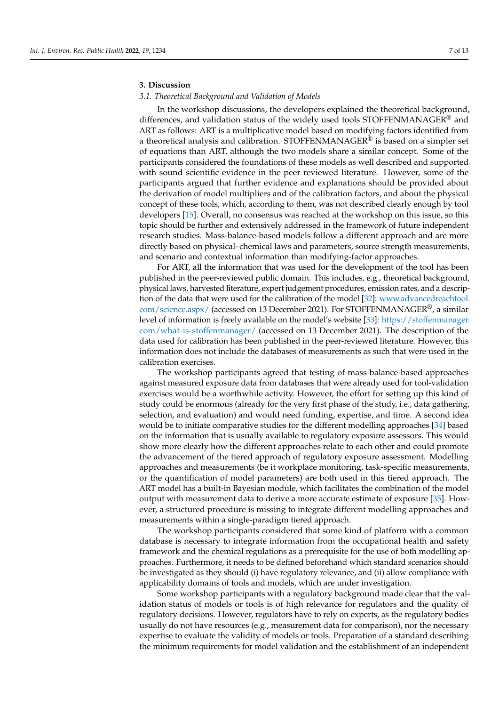# **3. Discussion**

### *3.1. Theoretical Background and Validation of Models*

In the workshop discussions, the developers explained the theoretical background, differences, and validation status of the widely used tools STOFFENMANAGER® and ART as follows: ART is a multiplicative model based on modifying factors identified from a theoretical analysis and calibration. STOFFENMANAGER® is based on a simpler set of equations than ART, although the two models share a similar concept. Some of the participants considered the foundations of these models as well described and supported with sound scientific evidence in the peer reviewed literature. However, some of the participants argued that further evidence and explanations should be provided about the derivation of model multipliers and of the calibration factors, and about the physical concept of these tools, which, according to them, was not described clearly enough by tool developers [\[15\]](#page-12-4). Overall, no consensus was reached at the workshop on this issue, so this topic should be further and extensively addressed in the framework of future independent research studies. Mass-balance-based models follow a different approach and are more directly based on physical–chemical laws and parameters, source strength measurements, and scenario and contextual information than modifying-factor approaches.

For ART, all the information that was used for the development of the tool has been published in the peer-reviewed public domain. This includes, e.g., theoretical background, physical laws, harvested literature, expert judgement procedures, emission rates, and a description of the data that were used for the calibration of the model [\[32\]](#page-12-21): [www.advancedreachtool.](www.advancedreachtool.com/science.aspx/) [com/science.aspx/](www.advancedreachtool.com/science.aspx/) (accessed on 13 December 2021). For STOFFENMANAGER®, a similar level of information is freely available on the model's website [\[33\]](#page-12-22): [https://stoffenmanager.](https://stoffenmanager.com/what-is-stoffenmanager/) [com/what-is-stoffenmanager/](https://stoffenmanager.com/what-is-stoffenmanager/) (accessed on 13 December 2021). The description of the data used for calibration has been published in the peer-reviewed literature. However, this information does not include the databases of measurements as such that were used in the calibration exercises.

The workshop participants agreed that testing of mass-balance-based approaches against measured exposure data from databases that were already used for tool-validation exercises would be a worthwhile activity. However, the effort for setting up this kind of study could be enormous (already for the very first phase of the study, i.e., data gathering, selection, and evaluation) and would need funding, expertise, and time. A second idea would be to initiate comparative studies for the different modelling approaches [\[34\]](#page-13-0) based on the information that is usually available to regulatory exposure assessors. This would show more clearly how the different approaches relate to each other and could promote the advancement of the tiered approach of regulatory exposure assessment. Modelling approaches and measurements (be it workplace monitoring, task-specific measurements, or the quantification of model parameters) are both used in this tiered approach. The ART model has a built-in Bayesian module, which facilitates the combination of the model output with measurement data to derive a more accurate estimate of exposure [\[35\]](#page-13-1). However, a structured procedure is missing to integrate different modelling approaches and measurements within a single-paradigm tiered approach.

The workshop participants considered that some kind of platform with a common database is necessary to integrate information from the occupational health and safety framework and the chemical regulations as a prerequisite for the use of both modelling approaches. Furthermore, it needs to be defined beforehand which standard scenarios should be investigated as they should (i) have regulatory relevance, and (ii) allow compliance with applicability domains of tools and models, which are under investigation.

Some workshop participants with a regulatory background made clear that the validation status of models or tools is of high relevance for regulators and the quality of regulatory decisions. However, regulators have to rely on experts, as the regulatory bodies usually do not have resources (e.g., measurement data for comparison), nor the necessary expertise to evaluate the validity of models or tools. Preparation of a standard describing the minimum requirements for model validation and the establishment of an independent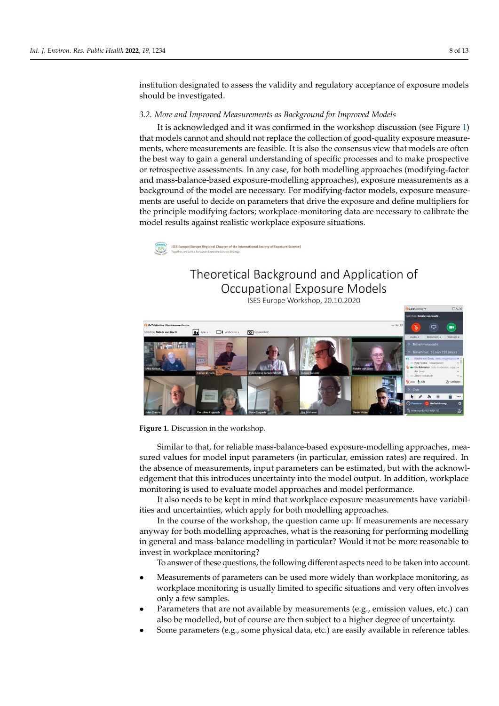institution designated to assess the validity and regulatory acceptance of exposure models should be investigated. institution designated to assess the validity and regulatory acceptance of exposure models  $\frac{1}{2}$  investigated.

# *3.2. More and Improved Measurements as Background for Improved Models 3.2. More and Improved Measurements as Background for Improved Models*

It is acknowledged and it was confirmed in the workshop discussion (see Figure [1\)](#page-8-0) It is acknowledged and it was confirmed in the workshop discussion (see Figure 1) that models cannot and should not replace the collection of good-quality exposure measurements, where measurements are feasible. It is also the consensus view that models are often the best way to gain a general understanding of specific processes and to make prospective or retrospective assessments. In any case, for both modelling approaches (modifying-factor and mass-balance-based exposure-modelling approaches), exposure measurements as a background of the model are necessary. For modifying-factor models, exposure measurements are useful to decide on parameters that drive the exposure and define multipliers for the principle modifying factors; workplace-monitoring data are necessary to calibrate the model results against realistic workplace exposure situations.

<span id="page-8-0"></span>ISES Europe (Europe Regional Chapter of the International Society of Exposure Science)

# Theoretical Background and Application of Occupational Exposure Models

ISES Europe Workshop, 20.10.2020



**Figure 1.** Discussion in the workshop. **Figure 1.** Discussion in the workshop.

Similar to that, for reliable mass-balance-based exposure-modelling approaches, measured values for model input parameters (in particular, emission rates) are required. In the absence of measurements, input parameters can be estimated, but with the acknowledgement that this introduces uncertainty into the model output. In addition, workplace monitoring is used to evaluate model approaches and model performance.

It also needs to be kept in mind that workplace exposure measurements have variabilities and uncertainties, which apply for both modelling approaches.

In the course of the workshop, the question came up: If measurements are necessary anyway for both modelling approaches, what is the reasoning for performing modelling in general and mass-balance modelling in particular? Would it not be more reasonable to invest in workplace monitoring?

To answer of these questions, the following different aspects need to be taken into account.

- Measurements of parameters can be used more widely than workplace monitoring, as workplace monitoring is usually limited to specific situations and very often involves only a few samples.
- Parameters that are not available by measurements (e.g., emission values, etc.) can also be modelled, but of course are then subject to a higher degree of uncertainty.
- Some parameters (e.g., some physical data, etc.) are easily available in reference tables.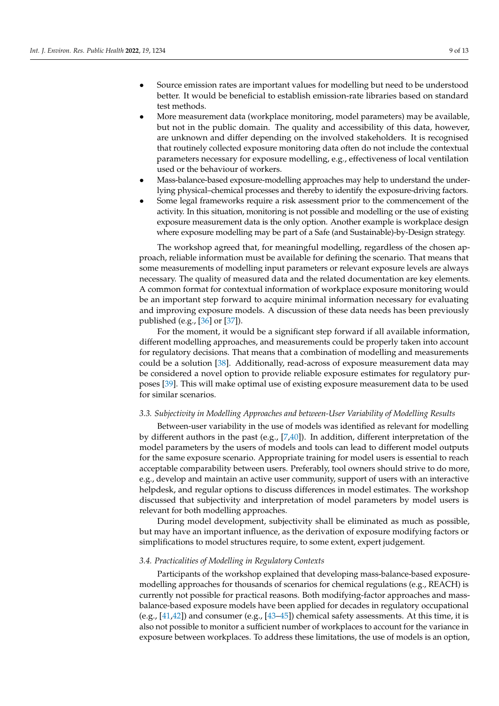- Source emission rates are important values for modelling but need to be understood better. It would be beneficial to establish emission-rate libraries based on standard test methods.
- More measurement data (workplace monitoring, model parameters) may be available, but not in the public domain. The quality and accessibility of this data, however, are unknown and differ depending on the involved stakeholders. It is recognised that routinely collected exposure monitoring data often do not include the contextual parameters necessary for exposure modelling, e.g., effectiveness of local ventilation used or the behaviour of workers.
- Mass-balance-based exposure-modelling approaches may help to understand the underlying physical–chemical processes and thereby to identify the exposure-driving factors.
- Some legal frameworks require a risk assessment prior to the commencement of the activity. In this situation, monitoring is not possible and modelling or the use of existing exposure measurement data is the only option. Another example is workplace design where exposure modelling may be part of a Safe (and Sustainable)-by-Design strategy.

The workshop agreed that, for meaningful modelling, regardless of the chosen approach, reliable information must be available for defining the scenario. That means that some measurements of modelling input parameters or relevant exposure levels are always necessary. The quality of measured data and the related documentation are key elements. A common format for contextual information of workplace exposure monitoring would be an important step forward to acquire minimal information necessary for evaluating and improving exposure models. A discussion of these data needs has been previously published (e.g., [\[36\]](#page-13-2) or [\[37\]](#page-13-3)).

For the moment, it would be a significant step forward if all available information, different modelling approaches, and measurements could be properly taken into account for regulatory decisions. That means that a combination of modelling and measurements could be a solution [\[38\]](#page-13-4). Additionally, read-across of exposure measurement data may be considered a novel option to provide reliable exposure estimates for regulatory purposes [\[39\]](#page-13-5). This will make optimal use of existing exposure measurement data to be used for similar scenarios.

#### *3.3. Subjectivity in Modelling Approaches and between-User Variability of Modelling Results*

Between-user variability in the use of models was identified as relevant for modelling by different authors in the past (e.g.,  $[7,40]$  $[7,40]$ ). In addition, different interpretation of the model parameters by the users of models and tools can lead to different model outputs for the same exposure scenario. Appropriate training for model users is essential to reach acceptable comparability between users. Preferably, tool owners should strive to do more, e.g., develop and maintain an active user community, support of users with an interactive helpdesk, and regular options to discuss differences in model estimates. The workshop discussed that subjectivity and interpretation of model parameters by model users is relevant for both modelling approaches.

During model development, subjectivity shall be eliminated as much as possible, but may have an important influence, as the derivation of exposure modifying factors or simplifications to model structures require, to some extent, expert judgement.

#### *3.4. Practicalities of Modelling in Regulatory Contexts*

Participants of the workshop explained that developing mass-balance-based exposuremodelling approaches for thousands of scenarios for chemical regulations (e.g., REACH) is currently not possible for practical reasons. Both modifying-factor approaches and massbalance-based exposure models have been applied for decades in regulatory occupational (e.g., [\[41](#page-13-7)[,42\]](#page-13-8)) and consumer (e.g., [\[43](#page-13-9)[–45\]](#page-13-10)) chemical safety assessments. At this time, it is also not possible to monitor a sufficient number of workplaces to account for the variance in exposure between workplaces. To address these limitations, the use of models is an option,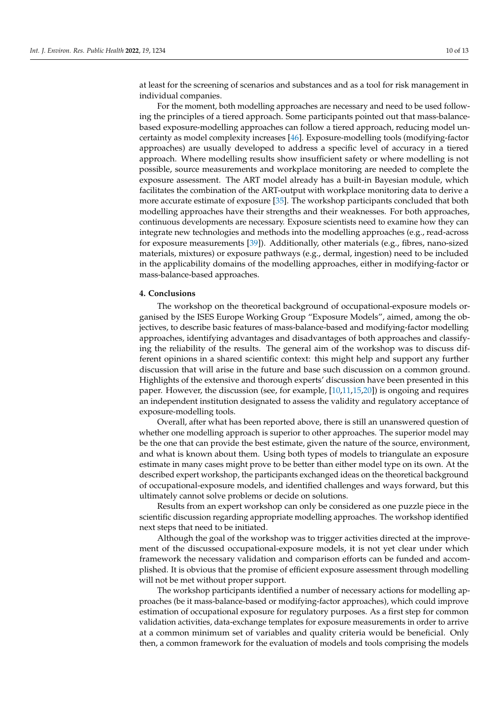at least for the screening of scenarios and substances and as a tool for risk management in individual companies.

For the moment, both modelling approaches are necessary and need to be used following the principles of a tiered approach. Some participants pointed out that mass-balancebased exposure-modelling approaches can follow a tiered approach, reducing model uncertainty as model complexity increases [\[46\]](#page-13-11). Exposure-modelling tools (modifying-factor approaches) are usually developed to address a specific level of accuracy in a tiered approach. Where modelling results show insufficient safety or where modelling is not possible, source measurements and workplace monitoring are needed to complete the exposure assessment. The ART model already has a built-in Bayesian module, which facilitates the combination of the ART-output with workplace monitoring data to derive a more accurate estimate of exposure [\[35\]](#page-13-1). The workshop participants concluded that both modelling approaches have their strengths and their weaknesses. For both approaches, continuous developments are necessary. Exposure scientists need to examine how they can integrate new technologies and methods into the modelling approaches (e.g., read-across for exposure measurements [\[39\]](#page-13-5)). Additionally, other materials (e.g., fibres, nano-sized materials, mixtures) or exposure pathways (e.g., dermal, ingestion) need to be included in the applicability domains of the modelling approaches, either in modifying-factor or mass-balance-based approaches.

#### **4. Conclusions**

The workshop on the theoretical background of occupational-exposure models organised by the ISES Europe Working Group "Exposure Models", aimed, among the objectives, to describe basic features of mass-balance-based and modifying-factor modelling approaches, identifying advantages and disadvantages of both approaches and classifying the reliability of the results. The general aim of the workshop was to discuss different opinions in a shared scientific context: this might help and support any further discussion that will arise in the future and base such discussion on a common ground. Highlights of the extensive and thorough experts' discussion have been presented in this paper. However, the discussion (see, for example, [\[10,](#page-12-2)[11,](#page-12-7)[15,](#page-12-4)[20\]](#page-12-10)) is ongoing and requires an independent institution designated to assess the validity and regulatory acceptance of exposure-modelling tools.

Overall, after what has been reported above, there is still an unanswered question of whether one modelling approach is superior to other approaches. The superior model may be the one that can provide the best estimate, given the nature of the source, environment, and what is known about them. Using both types of models to triangulate an exposure estimate in many cases might prove to be better than either model type on its own. At the described expert workshop, the participants exchanged ideas on the theoretical background of occupational-exposure models, and identified challenges and ways forward, but this ultimately cannot solve problems or decide on solutions.

Results from an expert workshop can only be considered as one puzzle piece in the scientific discussion regarding appropriate modelling approaches. The workshop identified next steps that need to be initiated.

Although the goal of the workshop was to trigger activities directed at the improvement of the discussed occupational-exposure models, it is not yet clear under which framework the necessary validation and comparison efforts can be funded and accomplished. It is obvious that the promise of efficient exposure assessment through modelling will not be met without proper support.

The workshop participants identified a number of necessary actions for modelling approaches (be it mass-balance-based or modifying-factor approaches), which could improve estimation of occupational exposure for regulatory purposes. As a first step for common validation activities, data-exchange templates for exposure measurements in order to arrive at a common minimum set of variables and quality criteria would be beneficial. Only then, a common framework for the evaluation of models and tools comprising the models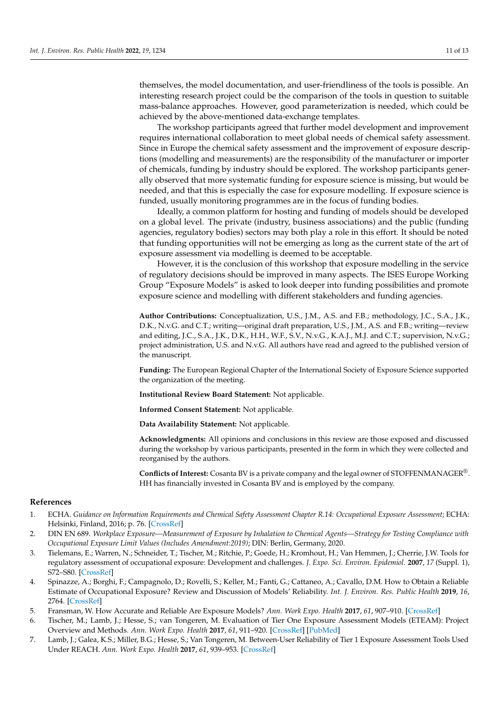themselves, the model documentation, and user-friendliness of the tools is possible. An interesting research project could be the comparison of the tools in question to suitable mass-balance approaches. However, good parameterization is needed, which could be achieved by the above-mentioned data-exchange templates.

The workshop participants agreed that further model development and improvement requires international collaboration to meet global needs of chemical safety assessment. Since in Europe the chemical safety assessment and the improvement of exposure descriptions (modelling and measurements) are the responsibility of the manufacturer or importer of chemicals, funding by industry should be explored. The workshop participants generally observed that more systematic funding for exposure science is missing, but would be needed, and that this is especially the case for exposure modelling. If exposure science is funded, usually monitoring programmes are in the focus of funding bodies.

Ideally, a common platform for hosting and funding of models should be developed on a global level. The private (industry, business associations) and the public (funding agencies, regulatory bodies) sectors may both play a role in this effort. It should be noted that funding opportunities will not be emerging as long as the current state of the art of exposure assessment via modelling is deemed to be acceptable.

However, it is the conclusion of this workshop that exposure modelling in the service of regulatory decisions should be improved in many aspects. The ISES Europe Working Group "Exposure Models" is asked to look deeper into funding possibilities and promote exposure science and modelling with different stakeholders and funding agencies.

**Author Contributions:** Conceptualization, U.S., J.M., A.S. and F.B.; methodology, J.C., S.A., J.K., D.K., N.v.G. and C.T.; writing—original draft preparation, U.S., J.M., A.S. and F.B.; writing—review and editing, J.C., S.A., J.K., D.K., H.H., W.F., S.V., N.v.G., K.A.J., M.J. and C.T.; supervision, N.v.G.; project administration, U.S. and N.v.G. All authors have read and agreed to the published version of the manuscript.

**Funding:** The European Regional Chapter of the International Society of Exposure Science supported the organization of the meeting.

**Institutional Review Board Statement:** Not applicable.

**Informed Consent Statement:** Not applicable.

**Data Availability Statement:** Not applicable.

**Acknowledgments:** All opinions and conclusions in this review are those exposed and discussed during the workshop by various participants, presented in the form in which they were collected and reorganised by the authors.

**Conflicts of Interest:** Cosanta BV is a private company and the legal owner of STOFFENMANAGER®. HH has financially invested in Cosanta BV and is employed by the company.

#### **References**

- <span id="page-11-0"></span>1. ECHA. *Guidance on Information Requirements and Chemical Safety Assessment Chapter R.14: Occupational Exposure Assessment*; ECHA: Helsinki, Finland, 2016; p. 76. [\[CrossRef\]](http://doi.org/10.2823/678250)
- <span id="page-11-1"></span>2. DIN EN 689. *Workplace Exposure—Measurement of Exposure by Inhalation to Chemical Agents—Strategy for Testing Compliance with Occupational Exposure Limit Values (Includes Amendment:2019)*; DIN: Berlin, Germany, 2020.
- <span id="page-11-2"></span>3. Tielemans, E.; Warren, N.; Schneider, T.; Tischer, M.; Ritchie, P.; Goede, H.; Kromhout, H.; Van Hemmen, J.; Cherrie, J.W. Tools for regulatory assessment of occupational exposure: Development and challenges. *J. Expo. Sci. Environ. Epidemiol.* **2007**, *17* (Suppl. 1), S72–S80. [\[CrossRef\]](http://doi.org/10.1038/sj.jes.7500604)
- <span id="page-11-3"></span>4. Spinazze, A.; Borghi, F.; Campagnolo, D.; Rovelli, S.; Keller, M.; Fanti, G.; Cattaneo, A.; Cavallo, D.M. How to Obtain a Reliable Estimate of Occupational Exposure? Review and Discussion of Models' Reliability. *Int. J. Environ. Res. Public Health* **2019**, *16*, 2764. [\[CrossRef\]](http://doi.org/10.3390/ijerph16152764)
- <span id="page-11-4"></span>5. Fransman, W. How Accurate and Reliable Are Exposure Models? *Ann. Work Expo. Health* **2017**, *61*, 907–910. [\[CrossRef\]](http://doi.org/10.1093/annweh/wxx068)
- <span id="page-11-5"></span>6. Tischer, M.; Lamb, J.; Hesse, S.; van Tongeren, M. Evaluation of Tier One Exposure Assessment Models (ETEAM): Project Overview and Methods. *Ann. Work Expo. Health* **2017**, *61*, 911–920. [\[CrossRef\]](http://doi.org/10.1093/annweh/wxx066) [\[PubMed\]](http://www.ncbi.nlm.nih.gov/pubmed/29028257)
- <span id="page-11-6"></span>7. Lamb, J.; Galea, K.S.; Miller, B.G.; Hesse, S.; Van Tongeren, M. Between-User Reliability of Tier 1 Exposure Assessment Tools Used Under REACH. *Ann. Work Expo. Health* **2017**, *61*, 939–953. [\[CrossRef\]](http://doi.org/10.1093/annweh/wxx074)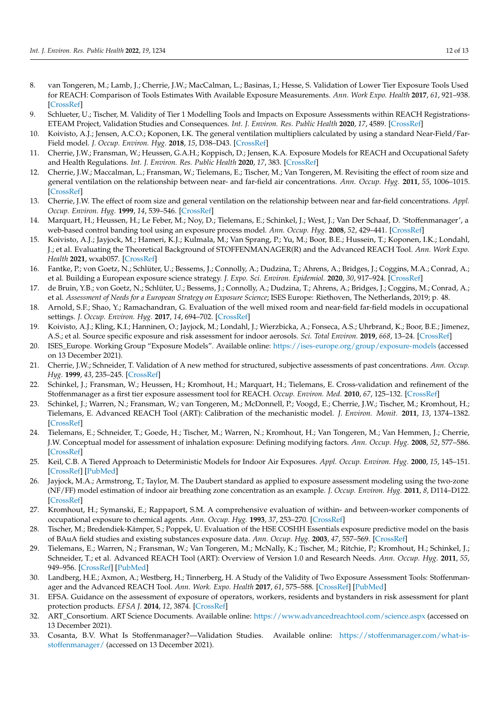- <span id="page-12-0"></span>8. van Tongeren, M.; Lamb, J.; Cherrie, J.W.; MacCalman, L.; Basinas, I.; Hesse, S. Validation of Lower Tier Exposure Tools Used for REACH: Comparison of Tools Estimates With Available Exposure Measurements. *Ann. Work Expo. Health* **2017**, *61*, 921–938. [\[CrossRef\]](http://doi.org/10.1093/annweh/wxx056)
- <span id="page-12-1"></span>9. Schlueter, U.; Tischer, M. Validity of Tier 1 Modelling Tools and Impacts on Exposure Assessments within REACH Registrations-ETEAM Project, Validation Studies and Consequences. *Int. J. Environ. Res. Public Health* **2020**, *17*, 4589. [\[CrossRef\]](http://doi.org/10.3390/ijerph17124589)
- <span id="page-12-2"></span>10. Koivisto, A.J.; Jensen, A.C.O.; Koponen, I.K. The general ventilation multipliers calculated by using a standard Near-Field/Far-Field model. *J. Occup. Environ. Hyg.* **2018**, *15*, D38–D43. [\[CrossRef\]](http://doi.org/10.1080/15459624.2018.1440084)
- <span id="page-12-7"></span>11. Cherrie, J.W.; Fransman, W.; Heussen, G.A.H.; Koppisch, D.; Jensen, K.A. Exposure Models for REACH and Occupational Safety and Health Regulations. *Int. J. Environ. Res. Public Health* **2020**, *17*, 383. [\[CrossRef\]](http://doi.org/10.3390/ijerph17020383)
- 12. Cherrie, J.W.; Maccalman, L.; Fransman, W.; Tielemans, E.; Tischer, M.; Van Tongeren, M. Revisiting the effect of room size and general ventilation on the relationship between near- and far-field air concentrations. *Ann. Occup. Hyg.* **2011**, *55*, 1006–1015. [\[CrossRef\]](http://doi.org/10.1093/annhyg/mer092)
- 13. Cherrie, J.W. The effect of room size and general ventilation on the relationship between near and far-field concentrations. *Appl. Occup. Environ. Hyg.* **1999**, *14*, 539–546. [\[CrossRef\]](http://doi.org/10.1080/104732299302530)
- <span id="page-12-3"></span>14. Marquart, H.; Heussen, H.; Le Feber, M.; Noy, D.; Tielemans, E.; Schinkel, J.; West, J.; Van Der Schaaf, D. 'Stoffenmanager', a web-based control banding tool using an exposure process model. *Ann. Occup. Hyg.* **2008**, *52*, 429–441. [\[CrossRef\]](http://doi.org/10.1093/annhyg/men032)
- <span id="page-12-4"></span>15. Koivisto, A.J.; Jayjock, M.; Hameri, K.J.; Kulmala, M.; Van Sprang, P.; Yu, M.; Boor, B.E.; Hussein, T.; Koponen, I.K.; Londahl, J.; et al. Evaluating the Theoretical Background of STOFFENMANAGER(R) and the Advanced REACH Tool. *Ann. Work Expo. Health* **2021**, wxab057. [\[CrossRef\]](http://doi.org/10.1093/annweh/wxab057)
- <span id="page-12-5"></span>16. Fantke, P.; von Goetz, N.; Schlüter, U.; Bessems, J.; Connolly, A.; Dudzina, T.; Ahrens, A.; Bridges, J.; Coggins, M.A.; Conrad, A.; et al. Building a European exposure science strategy. *J. Expo. Sci. Environ. Epidemiol.* **2020**, *30*, 917–924. [\[CrossRef\]](http://doi.org/10.1038/s41370-019-0193-7)
- <span id="page-12-6"></span>17. de Bruin, Y.B.; von Goetz, N.; Schlüter, U.; Bessems, J.; Connolly, A.; Dudzina, T.; Ahrens, A.; Bridges, J.; Coggins, M.; Conrad, A.; et al. *Assessment of Needs for a European Strategy on Exposure Science*; ISES Europe: Riethoven, The Netherlands, 2019; p. 48.
- <span id="page-12-8"></span>18. Arnold, S.F.; Shao, Y.; Ramachandran, G. Evaluation of the well mixed room and near-field far-field models in occupational settings. *J. Occup. Environ. Hyg.* **2017**, *14*, 694–702. [\[CrossRef\]](http://doi.org/10.1080/15459624.2017.1321843)
- <span id="page-12-9"></span>19. Koivisto, A.J.; Kling, K.I.; Hanninen, O.; Jayjock, M.; Londahl, J.; Wierzbicka, A.; Fonseca, A.S.; Uhrbrand, K.; Boor, B.E.; Jimenez, A.S.; et al. Source specific exposure and risk assessment for indoor aerosols. *Sci. Total Environ.* **2019**, *668*, 13–24. [\[CrossRef\]](http://doi.org/10.1016/j.scitotenv.2019.02.398)
- <span id="page-12-10"></span>20. ISES\_Europe. Working Group "Exposure Models". Available online: <https://ises-europe.org/group/exposure-models> (accessed on 13 December 2021).
- <span id="page-12-11"></span>21. Cherrie, J.W.; Schneider, T. Validation of A new method for structured, subjective assessments of past concentrations. *Ann. Occup. Hyg.* **1999**, *43*, 235–245. [\[CrossRef\]](http://doi.org/10.1016/S0003-4878(99)00023-X)
- <span id="page-12-12"></span>22. Schinkel, J.; Fransman, W.; Heussen, H.; Kromhout, H.; Marquart, H.; Tielemans, E. Cross-validation and refinement of the Stoffenmanager as a first tier exposure assessment tool for REACH. *Occup. Environ. Med.* **2010**, *67*, 125–132. [\[CrossRef\]](http://doi.org/10.1136/oem.2008.045500)
- <span id="page-12-13"></span>23. Schinkel, J.; Warren, N.; Fransman, W.; van Tongeren, M.; McDonnell, P.; Voogd, E.; Cherrie, J.W.; Tischer, M.; Kromhout, H.; Tielemans, E. Advanced REACH Tool (ART): Calibration of the mechanistic model. *J. Environ. Monit.* **2011**, *13*, 1374–1382. [\[CrossRef\]](http://doi.org/10.1039/c1em00007a)
- <span id="page-12-14"></span>24. Tielemans, E.; Schneider, T.; Goede, H.; Tischer, M.; Warren, N.; Kromhout, H.; Van Tongeren, M.; Van Hemmen, J.; Cherrie, J.W. Conceptual model for assessment of inhalation exposure: Defining modifying factors. *Ann. Occup. Hyg.* **2008**, *52*, 577–586. [\[CrossRef\]](http://doi.org/10.1093/annhyg/men059)
- <span id="page-12-15"></span>25. Keil, C.B. A Tiered Approach to Deterministic Models for Indoor Air Exposures. *Appl. Occup. Environ. Hyg.* **2000**, *15*, 145–151. [\[CrossRef\]](http://doi.org/10.1080/104732200301962) [\[PubMed\]](http://www.ncbi.nlm.nih.gov/pubmed/10712069)
- <span id="page-12-16"></span>26. Jayjock, M.A.; Armstrong, T.; Taylor, M. The Daubert standard as applied to exposure assessment modeling using the two-zone (NF/FF) model estimation of indoor air breathing zone concentration as an example. *J. Occup. Environ. Hyg.* **2011**, *8*, D114–D122. [\[CrossRef\]](http://doi.org/10.1080/15459624.2011.624387)
- <span id="page-12-17"></span>27. Kromhout, H.; Symanski, E.; Rappaport, S.M. A comprehensive evaluation of within- and between-worker components of occupational exposure to chemical agents. *Ann. Occup. Hyg.* **1993**, *37*, 253–270. [\[CrossRef\]](http://doi.org/10.1093/annhyg/37.3.253)
- <span id="page-12-18"></span>28. Tischer, M.; Bredendiek-Kämper, S.; Poppek, U. Evaluation of the HSE COSHH Essentials exposure predictive model on the basis of BAuA field studies and existing substances exposure data. *Ann. Occup. Hyg.* **2003**, *47*, 557–569. [\[CrossRef\]](http://doi.org/10.1093/annhyg/meg086)
- 29. Tielemans, E.; Warren, N.; Fransman, W.; Van Tongeren, M.; McNally, K.; Tischer, M.; Ritchie, P.; Kromhout, H.; Schinkel, J.; Schneider, T.; et al. Advanced REACH Tool (ART): Overview of Version 1.0 and Research Needs. *Ann. Occup. Hyg.* **2011**, *55*, 949–956. [\[CrossRef\]](http://doi.org/10.1093/annhyg/mer094) [\[PubMed\]](http://www.ncbi.nlm.nih.gov/pubmed/22080161)
- <span id="page-12-19"></span>30. Landberg, H.E.; Axmon, A.; Westberg, H.; Tinnerberg, H. A Study of the Validity of Two Exposure Assessment Tools: Stoffenmanager and the Advanced REACH Tool. *Ann. Work. Expo. Health* **2017**, *61*, 575–588. [\[CrossRef\]](http://doi.org/10.1093/annweh/wxx008) [\[PubMed\]](http://www.ncbi.nlm.nih.gov/pubmed/28355454)
- <span id="page-12-20"></span>31. EFSA. Guidance on the assessment of exposure of operators, workers, residents and bystanders in risk assessment for plant protection products. *EFSA J.* **2014**, *12*, 3874. [\[CrossRef\]](http://doi.org/10.2903/j.efsa.2014.3874)
- <span id="page-12-21"></span>32. ART\_Consortium. ART Science Documents. Available online: <https://www.advancedreachtool.com/science.aspx> (accessed on 13 December 2021).
- <span id="page-12-22"></span>33. Cosanta, B.V. What Is Stoffenmanager?—Validation Studies. Available online: [https://stoffenmanager.com/what-is](https://stoffenmanager.com/what-is-stoffenmanager/)[stoffenmanager/](https://stoffenmanager.com/what-is-stoffenmanager/) (accessed on 13 December 2021).